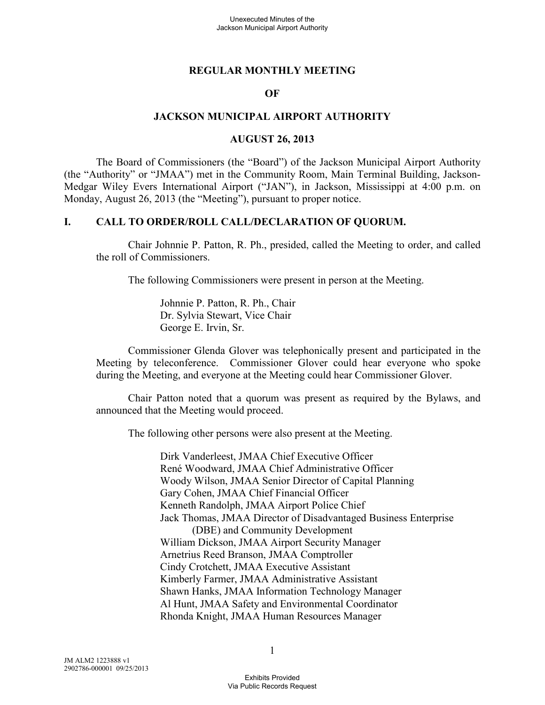#### **REGULAR MONTHLY MEETING**

#### **OF**

#### **JACKSON MUNICIPAL AIRPORT AUTHORITY**

#### **AUGUST 26, 2013**

The Board of Commissioners (the "Board") of the Jackson Municipal Airport Authority (the "Authority" or "JMAA") met in the Community Room, Main Terminal Building, Jackson-Medgar Wiley Evers International Airport ("JAN"), in Jackson, Mississippi at 4:00 p.m. on Monday, August 26, 2013 (the "Meeting"), pursuant to proper notice.

#### **I. CALL TO ORDER/ROLL CALL/DECLARATION OF QUORUM.**

Chair Johnnie P. Patton, R. Ph., presided, called the Meeting to order, and called the roll of Commissioners.

The following Commissioners were present in person at the Meeting.

Johnnie P. Patton, R. Ph., Chair Dr. Sylvia Stewart, Vice Chair George E. Irvin, Sr.

Commissioner Glenda Glover was telephonically present and participated in the Meeting by teleconference. Commissioner Glover could hear everyone who spoke during the Meeting, and everyone at the Meeting could hear Commissioner Glover.

Chair Patton noted that a quorum was present as required by the Bylaws, and announced that the Meeting would proceed.

The following other persons were also present at the Meeting.

Dirk Vanderleest, JMAA Chief Executive Officer René Woodward, JMAA Chief Administrative Officer Woody Wilson, JMAA Senior Director of Capital Planning Gary Cohen, JMAA Chief Financial Officer Kenneth Randolph, JMAA Airport Police Chief Jack Thomas, JMAA Director of Disadvantaged Business Enterprise (DBE) and Community Development William Dickson, JMAA Airport Security Manager Arnetrius Reed Branson, JMAA Comptroller Cindy Crotchett, JMAA Executive Assistant Kimberly Farmer, JMAA Administrative Assistant Shawn Hanks, JMAA Information Technology Manager Al Hunt, JMAA Safety and Environmental Coordinator Rhonda Knight, JMAA Human Resources Manager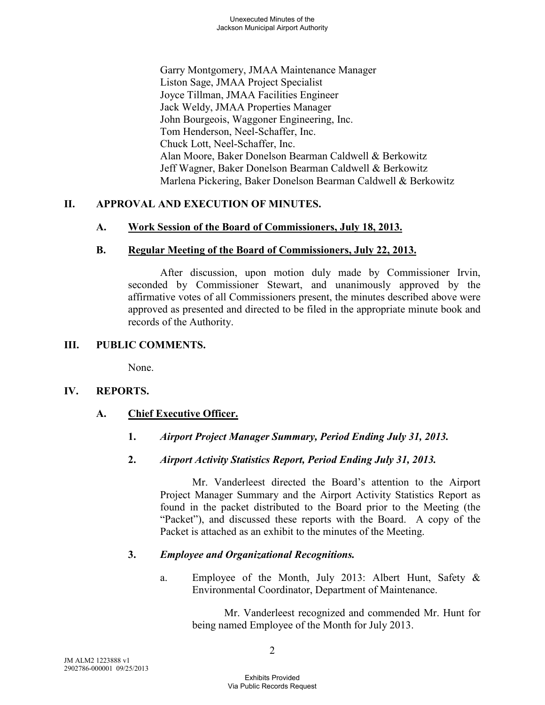Garry Montgomery, JMAA Maintenance Manager Liston Sage, JMAA Project Specialist Joyce Tillman, JMAA Facilities Engineer Jack Weldy, JMAA Properties Manager John Bourgeois, Waggoner Engineering, Inc. Tom Henderson, Neel-Schaffer, Inc. Chuck Lott, Neel-Schaffer, Inc. Alan Moore, Baker Donelson Bearman Caldwell & Berkowitz Jeff Wagner, Baker Donelson Bearman Caldwell & Berkowitz Marlena Pickering, Baker Donelson Bearman Caldwell & Berkowitz

# **II. APPROVAL AND EXECUTION OF MINUTES.**

# **A. Work Session of the Board of Commissioners, July 18, 2013.**

# **B. Regular Meeting of the Board of Commissioners, July 22, 2013.**

After discussion, upon motion duly made by Commissioner Irvin, seconded by Commissioner Stewart, and unanimously approved by the affirmative votes of all Commissioners present, the minutes described above were approved as presented and directed to be filed in the appropriate minute book and records of the Authority.

# **III. PUBLIC COMMENTS.**

None.

# **IV. REPORTS.**

# **A. Chief Executive Officer.**

- **1.** *Airport Project Manager Summary, Period Ending July 31, 2013.*
- **2.** *Airport Activity Statistics Report, Period Ending July 31, 2013.*

Mr. Vanderleest directed the Board's attention to the Airport Project Manager Summary and the Airport Activity Statistics Report as found in the packet distributed to the Board prior to the Meeting (the "Packet"), and discussed these reports with the Board. A copy of the Packet is attached as an exhibit to the minutes of the Meeting.

# **3.** *Employee and Organizational Recognitions.*

a. Employee of the Month, July 2013: Albert Hunt, Safety & Environmental Coordinator, Department of Maintenance.

Mr. Vanderleest recognized and commended Mr. Hunt for being named Employee of the Month for July 2013.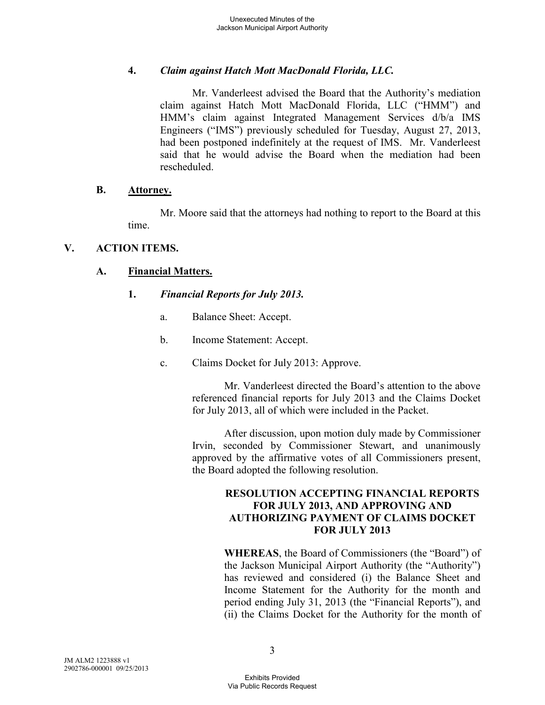# **4.** *Claim against Hatch Mott MacDonald Florida, LLC.*

Mr. Vanderleest advised the Board that the Authority's mediation claim against Hatch Mott MacDonald Florida, LLC ("HMM") and HMM's claim against Integrated Management Services d/b/a IMS Engineers ("IMS") previously scheduled for Tuesday, August 27, 2013, had been postponed indefinitely at the request of IMS. Mr. Vanderleest said that he would advise the Board when the mediation had been rescheduled.

#### **B. Attorney.**

Mr. Moore said that the attorneys had nothing to report to the Board at this time.

# **V. ACTION ITEMS.**

# **A. Financial Matters.**

# **1.** *Financial Reports for July 2013.*

- a. Balance Sheet: Accept.
- b. Income Statement: Accept.
- c. Claims Docket for July 2013: Approve.

Mr. Vanderleest directed the Board's attention to the above referenced financial reports for July 2013 and the Claims Docket for July 2013, all of which were included in the Packet.

After discussion, upon motion duly made by Commissioner Irvin, seconded by Commissioner Stewart, and unanimously approved by the affirmative votes of all Commissioners present, the Board adopted the following resolution.

# **RESOLUTION ACCEPTING FINANCIAL REPORTS FOR JULY 2013, AND APPROVING AND AUTHORIZING PAYMENT OF CLAIMS DOCKET FOR JULY 2013**

**WHEREAS**, the Board of Commissioners (the "Board") of the Jackson Municipal Airport Authority (the "Authority") has reviewed and considered (i) the Balance Sheet and Income Statement for the Authority for the month and period ending July 31, 2013 (the "Financial Reports"), and (ii) the Claims Docket for the Authority for the month of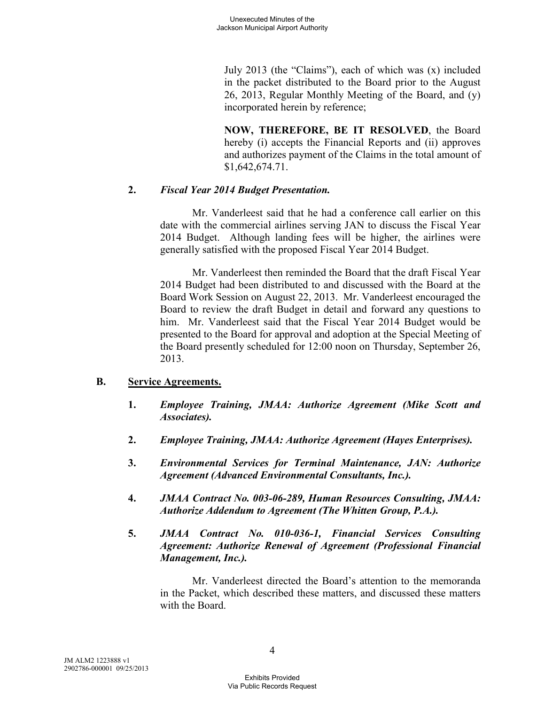July 2013 (the "Claims"), each of which was (x) included in the packet distributed to the Board prior to the August 26, 2013, Regular Monthly Meeting of the Board, and (y) incorporated herein by reference;

**NOW, THEREFORE, BE IT RESOLVED**, the Board hereby (i) accepts the Financial Reports and (ii) approves and authorizes payment of the Claims in the total amount of \$1,642,674.71.

# **2.** *Fiscal Year 2014 Budget Presentation.*

Mr. Vanderleest said that he had a conference call earlier on this date with the commercial airlines serving JAN to discuss the Fiscal Year 2014 Budget. Although landing fees will be higher, the airlines were generally satisfied with the proposed Fiscal Year 2014 Budget.

Mr. Vanderleest then reminded the Board that the draft Fiscal Year 2014 Budget had been distributed to and discussed with the Board at the Board Work Session on August 22, 2013. Mr. Vanderleest encouraged the Board to review the draft Budget in detail and forward any questions to him. Mr. Vanderleest said that the Fiscal Year 2014 Budget would be presented to the Board for approval and adoption at the Special Meeting of the Board presently scheduled for 12:00 noon on Thursday, September 26, 2013.

# **B. Service Agreements.**

- **1.** *Employee Training, JMAA: Authorize Agreement (Mike Scott and Associates).*
- **2.** *Employee Training, JMAA: Authorize Agreement (Hayes Enterprises).*
- **3.** *Environmental Services for Terminal Maintenance, JAN: Authorize Agreement (Advanced Environmental Consultants, Inc.).*
- **4.** *JMAA Contract No. 003-06-289, Human Resources Consulting, JMAA: Authorize Addendum to Agreement (The Whitten Group, P.A.).*
- **5.** *JMAA Contract No. 010-036-1, Financial Services Consulting Agreement: Authorize Renewal of Agreement (Professional Financial Management, Inc.).*

Mr. Vanderleest directed the Board's attention to the memoranda in the Packet, which described these matters, and discussed these matters with the Board.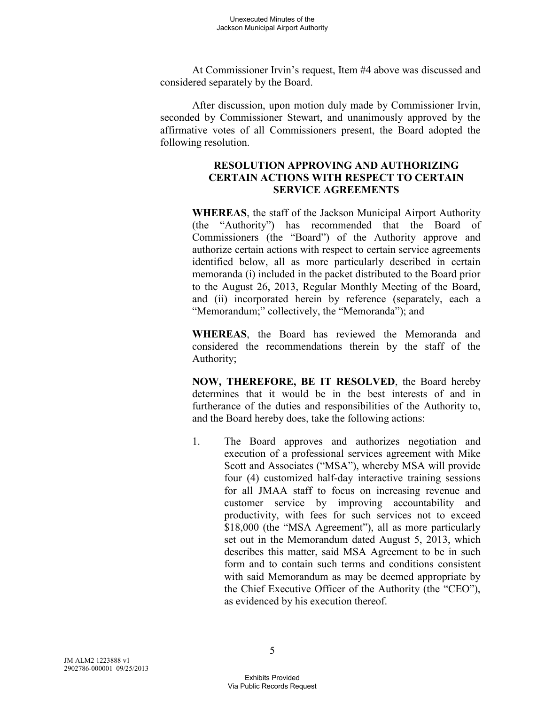At Commissioner Irvin's request, Item #4 above was discussed and considered separately by the Board.

After discussion, upon motion duly made by Commissioner Irvin, seconded by Commissioner Stewart, and unanimously approved by the affirmative votes of all Commissioners present, the Board adopted the following resolution.

# **RESOLUTION APPROVING AND AUTHORIZING CERTAIN ACTIONS WITH RESPECT TO CERTAIN SERVICE AGREEMENTS**

**WHEREAS**, the staff of the Jackson Municipal Airport Authority (the "Authority") has recommended that the Board of Commissioners (the "Board") of the Authority approve and authorize certain actions with respect to certain service agreements identified below, all as more particularly described in certain memoranda (i) included in the packet distributed to the Board prior to the August 26, 2013, Regular Monthly Meeting of the Board, and (ii) incorporated herein by reference (separately, each a "Memorandum;" collectively, the "Memoranda"); and

**WHEREAS**, the Board has reviewed the Memoranda and considered the recommendations therein by the staff of the Authority;

**NOW, THEREFORE, BE IT RESOLVED**, the Board hereby determines that it would be in the best interests of and in furtherance of the duties and responsibilities of the Authority to, and the Board hereby does, take the following actions:

1. The Board approves and authorizes negotiation and execution of a professional services agreement with Mike Scott and Associates ("MSA"), whereby MSA will provide four (4) customized half-day interactive training sessions for all JMAA staff to focus on increasing revenue and customer service by improving accountability and productivity, with fees for such services not to exceed \$18,000 (the "MSA Agreement"), all as more particularly set out in the Memorandum dated August 5, 2013, which describes this matter, said MSA Agreement to be in such form and to contain such terms and conditions consistent with said Memorandum as may be deemed appropriate by the Chief Executive Officer of the Authority (the "CEO"), as evidenced by his execution thereof.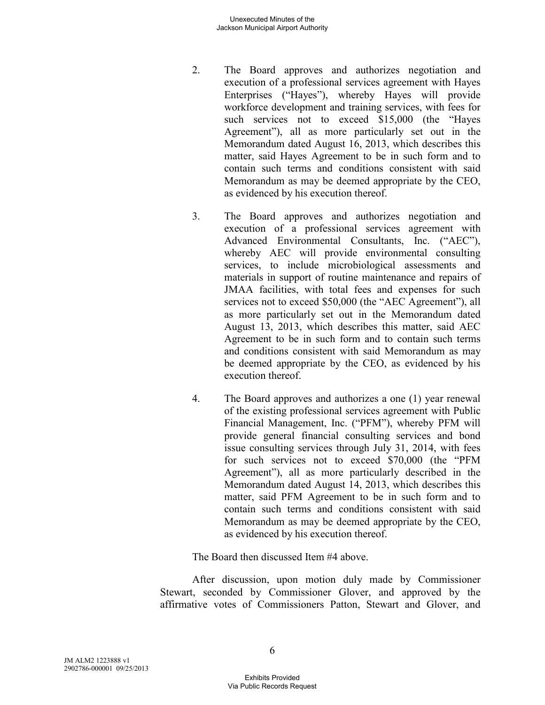- 2. The Board approves and authorizes negotiation and execution of a professional services agreement with Hayes Enterprises ("Hayes"), whereby Hayes will provide workforce development and training services, with fees for such services not to exceed \$15,000 (the "Hayes Agreement"), all as more particularly set out in the Memorandum dated August 16, 2013, which describes this matter, said Hayes Agreement to be in such form and to contain such terms and conditions consistent with said Memorandum as may be deemed appropriate by the CEO, as evidenced by his execution thereof.
- 3. The Board approves and authorizes negotiation and execution of a professional services agreement with Advanced Environmental Consultants, Inc. ("AEC"), whereby AEC will provide environmental consulting services, to include microbiological assessments and materials in support of routine maintenance and repairs of JMAA facilities, with total fees and expenses for such services not to exceed \$50,000 (the "AEC Agreement"), all as more particularly set out in the Memorandum dated August 13, 2013, which describes this matter, said AEC Agreement to be in such form and to contain such terms and conditions consistent with said Memorandum as may be deemed appropriate by the CEO, as evidenced by his execution thereof.
- 4. The Board approves and authorizes a one (1) year renewal of the existing professional services agreement with Public Financial Management, Inc. ("PFM"), whereby PFM will provide general financial consulting services and bond issue consulting services through July 31, 2014, with fees for such services not to exceed \$70,000 (the "PFM Agreement"), all as more particularly described in the Memorandum dated August 14, 2013, which describes this matter, said PFM Agreement to be in such form and to contain such terms and conditions consistent with said Memorandum as may be deemed appropriate by the CEO, as evidenced by his execution thereof.

The Board then discussed Item #4 above.

After discussion, upon motion duly made by Commissioner Stewart, seconded by Commissioner Glover, and approved by the affirmative votes of Commissioners Patton, Stewart and Glover, and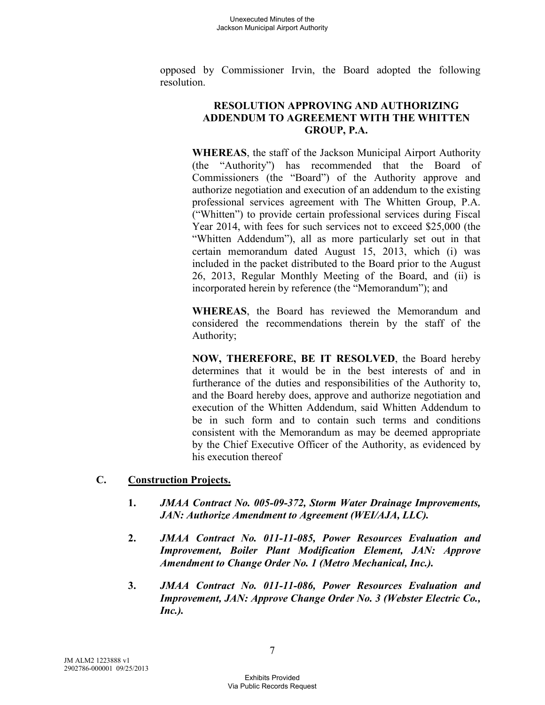opposed by Commissioner Irvin, the Board adopted the following resolution.

#### **RESOLUTION APPROVING AND AUTHORIZING ADDENDUM TO AGREEMENT WITH THE WHITTEN GROUP, P.A.**

**WHEREAS**, the staff of the Jackson Municipal Airport Authority (the "Authority") has recommended that the Board of Commissioners (the "Board") of the Authority approve and authorize negotiation and execution of an addendum to the existing professional services agreement with The Whitten Group, P.A. ("Whitten") to provide certain professional services during Fiscal Year 2014, with fees for such services not to exceed \$25,000 (the "Whitten Addendum"), all as more particularly set out in that certain memorandum dated August 15, 2013, which (i) was included in the packet distributed to the Board prior to the August 26, 2013, Regular Monthly Meeting of the Board, and (ii) is incorporated herein by reference (the "Memorandum"); and

**WHEREAS**, the Board has reviewed the Memorandum and considered the recommendations therein by the staff of the Authority;

**NOW, THEREFORE, BE IT RESOLVED**, the Board hereby determines that it would be in the best interests of and in furtherance of the duties and responsibilities of the Authority to, and the Board hereby does, approve and authorize negotiation and execution of the Whitten Addendum, said Whitten Addendum to be in such form and to contain such terms and conditions consistent with the Memorandum as may be deemed appropriate by the Chief Executive Officer of the Authority, as evidenced by his execution thereof

- **C. Construction Projects.** 
	- **1.** *JMAA Contract No. 005-09-372, Storm Water Drainage Improvements, JAN: Authorize Amendment to Agreement (WEI/AJA, LLC).*
	- **2.** *JMAA Contract No. 011-11-085, Power Resources Evaluation and Improvement, Boiler Plant Modification Element, JAN: Approve Amendment to Change Order No. 1 (Metro Mechanical, Inc.).*
	- **3.** *JMAA Contract No. 011-11-086, Power Resources Evaluation and Improvement, JAN: Approve Change Order No. 3 (Webster Electric Co., Inc.).*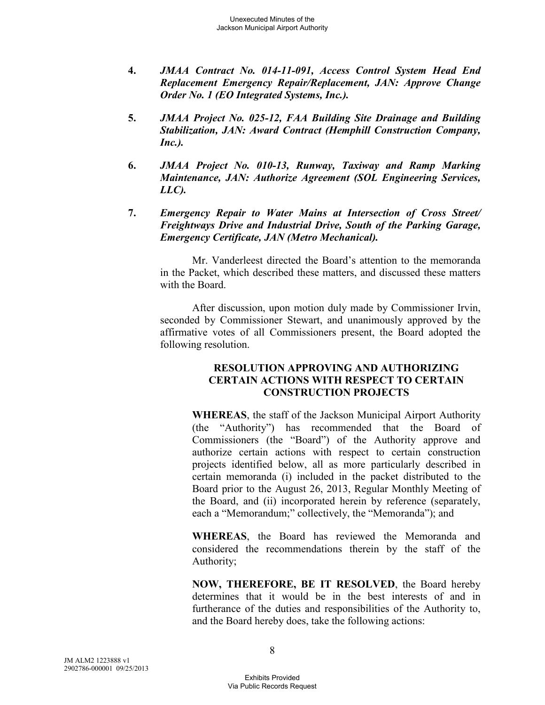- **4.** *JMAA Contract No. 014-11-091, Access Control System Head End Replacement Emergency Repair/Replacement, JAN: Approve Change Order No. 1 (EO Integrated Systems, Inc.).*
- **5.** *JMAA Project No. 025-12, FAA Building Site Drainage and Building Stabilization, JAN: Award Contract (Hemphill Construction Company, Inc.).*
- **6.** *JMAA Project No. 010-13, Runway, Taxiway and Ramp Marking Maintenance, JAN: Authorize Agreement (SOL Engineering Services, LLC).*
- **7.** *Emergency Repair to Water Mains at Intersection of Cross Street/ Freightways Drive and Industrial Drive, South of the Parking Garage, Emergency Certificate, JAN (Metro Mechanical).*

Mr. Vanderleest directed the Board's attention to the memoranda in the Packet, which described these matters, and discussed these matters with the Board.

After discussion, upon motion duly made by Commissioner Irvin, seconded by Commissioner Stewart, and unanimously approved by the affirmative votes of all Commissioners present, the Board adopted the following resolution.

#### **RESOLUTION APPROVING AND AUTHORIZING CERTAIN ACTIONS WITH RESPECT TO CERTAIN CONSTRUCTION PROJECTS**

**WHEREAS**, the staff of the Jackson Municipal Airport Authority (the "Authority") has recommended that the Board of Commissioners (the "Board") of the Authority approve and authorize certain actions with respect to certain construction projects identified below, all as more particularly described in certain memoranda (i) included in the packet distributed to the Board prior to the August 26, 2013, Regular Monthly Meeting of the Board, and (ii) incorporated herein by reference (separately, each a "Memorandum;" collectively, the "Memoranda"); and

**WHEREAS**, the Board has reviewed the Memoranda and considered the recommendations therein by the staff of the Authority;

**NOW, THEREFORE, BE IT RESOLVED**, the Board hereby determines that it would be in the best interests of and in furtherance of the duties and responsibilities of the Authority to, and the Board hereby does, take the following actions: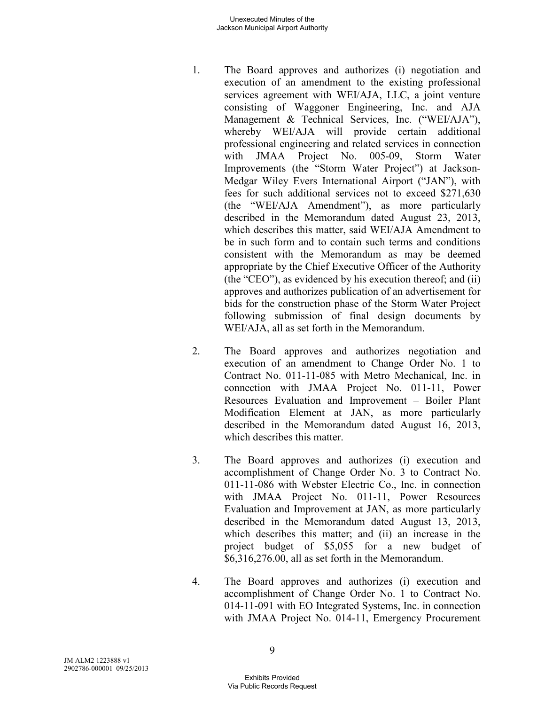#### Unexecuted Minutes of the Jackson Municipal Airport Authority

- 1. The Board approves and authorizes (i) negotiation and execution of an amendment to the existing professional services agreement with WEI/AJA, LLC, a joint venture consisting of Waggoner Engineering, Inc. and AJA Management & Technical Services, Inc. ("WEI/AJA"), whereby WEI/AJA will provide certain additional professional engineering and related services in connection with JMAA Project No. 005-09, Storm Water Improvements (the "Storm Water Project") at Jackson-Medgar Wiley Evers International Airport ("JAN"), with fees for such additional services not to exceed \$271,630 (the "WEI/AJA Amendment"), as more particularly described in the Memorandum dated August 23, 2013, which describes this matter, said WEI/AJA Amendment to be in such form and to contain such terms and conditions consistent with the Memorandum as may be deemed appropriate by the Chief Executive Officer of the Authority (the "CEO"), as evidenced by his execution thereof; and (ii) approves and authorizes publication of an advertisement for bids for the construction phase of the Storm Water Project following submission of final design documents by WEI/AJA, all as set forth in the Memorandum.
- 2. The Board approves and authorizes negotiation and execution of an amendment to Change Order No. 1 to Contract No. 011-11-085 with Metro Mechanical, Inc. in connection with JMAA Project No. 011-11, Power Resources Evaluation and Improvement – Boiler Plant Modification Element at JAN, as more particularly described in the Memorandum dated August 16, 2013, which describes this matter.
- 3. The Board approves and authorizes (i) execution and accomplishment of Change Order No. 3 to Contract No. 011-11-086 with Webster Electric Co., Inc. in connection with JMAA Project No. 011-11, Power Resources Evaluation and Improvement at JAN, as more particularly described in the Memorandum dated August 13, 2013, which describes this matter; and (ii) an increase in the project budget of \$5,055 for a new budget of \$6,316,276.00, all as set forth in the Memorandum.
- 4. The Board approves and authorizes (i) execution and accomplishment of Change Order No. 1 to Contract No. 014-11-091 with EO Integrated Systems, Inc. in connection with JMAA Project No. 014-11, Emergency Procurement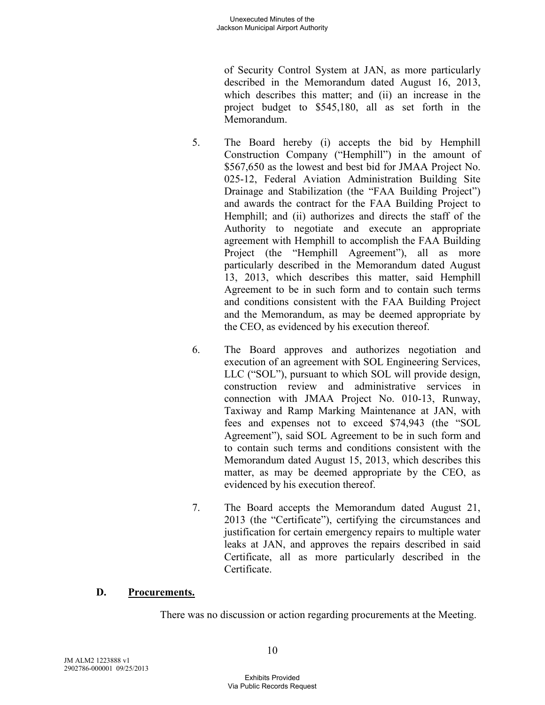of Security Control System at JAN, as more particularly described in the Memorandum dated August 16, 2013, which describes this matter; and (ii) an increase in the project budget to \$545,180, all as set forth in the Memorandum.

- 5. The Board hereby (i) accepts the bid by Hemphill Construction Company ("Hemphill") in the amount of \$567,650 as the lowest and best bid for JMAA Project No. 025-12, Federal Aviation Administration Building Site Drainage and Stabilization (the "FAA Building Project") and awards the contract for the FAA Building Project to Hemphill; and (ii) authorizes and directs the staff of the Authority to negotiate and execute an appropriate agreement with Hemphill to accomplish the FAA Building Project (the "Hemphill Agreement"), all as more particularly described in the Memorandum dated August 13, 2013, which describes this matter, said Hemphill Agreement to be in such form and to contain such terms and conditions consistent with the FAA Building Project and the Memorandum, as may be deemed appropriate by the CEO, as evidenced by his execution thereof.
- 6. The Board approves and authorizes negotiation and execution of an agreement with SOL Engineering Services, LLC ("SOL"), pursuant to which SOL will provide design, construction review and administrative services in connection with JMAA Project No. 010-13, Runway, Taxiway and Ramp Marking Maintenance at JAN, with fees and expenses not to exceed \$74,943 (the "SOL Agreement"), said SOL Agreement to be in such form and to contain such terms and conditions consistent with the Memorandum dated August 15, 2013, which describes this matter, as may be deemed appropriate by the CEO, as evidenced by his execution thereof.
- 7. The Board accepts the Memorandum dated August 21, 2013 (the "Certificate"), certifying the circumstances and justification for certain emergency repairs to multiple water leaks at JAN, and approves the repairs described in said Certificate, all as more particularly described in the Certificate.

# **D. Procurements.**

There was no discussion or action regarding procurements at the Meeting.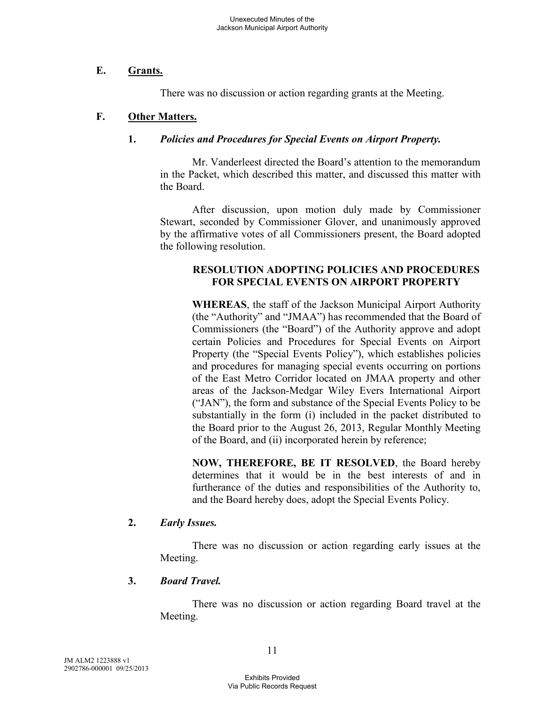#### **E. Grants.**

There was no discussion or action regarding grants at the Meeting.

#### **F. Other Matters.**

#### **1.** *Policies and Procedures for Special Events on Airport Property.*

Mr. Vanderleest directed the Board's attention to the memorandum in the Packet, which described this matter, and discussed this matter with the Board.

After discussion, upon motion duly made by Commissioner Stewart, seconded by Commissioner Glover, and unanimously approved by the affirmative votes of all Commissioners present, the Board adopted the following resolution.

#### **RESOLUTION ADOPTING POLICIES AND PROCEDURES FOR SPECIAL EVENTS ON AIRPORT PROPERTY**

**WHEREAS**, the staff of the Jackson Municipal Airport Authority (the "Authority" and "JMAA") has recommended that the Board of Commissioners (the "Board") of the Authority approve and adopt certain Policies and Procedures for Special Events on Airport Property (the "Special Events Policy"), which establishes policies and procedures for managing special events occurring on portions of the East Metro Corridor located on JMAA property and other areas of the Jackson-Medgar Wiley Evers International Airport ("JAN"), the form and substance of the Special Events Policy to be substantially in the form (i) included in the packet distributed to the Board prior to the August 26, 2013, Regular Monthly Meeting of the Board, and (ii) incorporated herein by reference;

**NOW, THEREFORE, BE IT RESOLVED**, the Board hereby determines that it would be in the best interests of and in furtherance of the duties and responsibilities of the Authority to, and the Board hereby does, adopt the Special Events Policy.

#### **2.** *Early Issues.*

There was no discussion or action regarding early issues at the Meeting.

#### **3.** *Board Travel.*

There was no discussion or action regarding Board travel at the Meeting.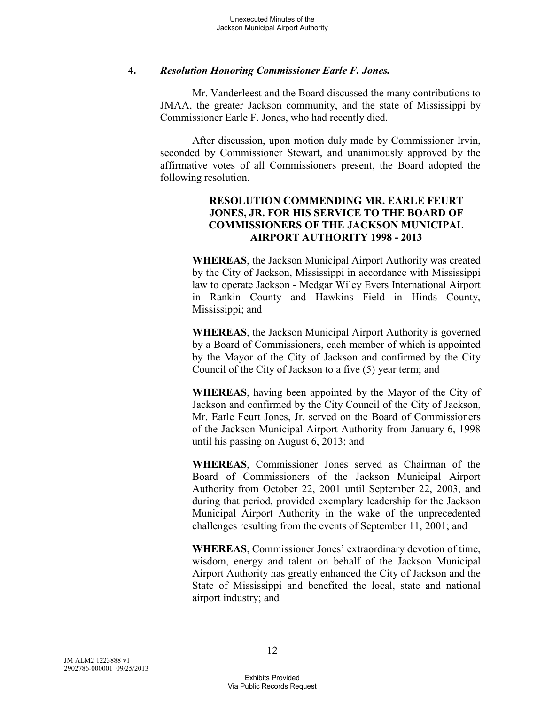#### **4.** *Resolution Honoring Commissioner Earle F. Jones.*

Mr. Vanderleest and the Board discussed the many contributions to JMAA, the greater Jackson community, and the state of Mississippi by Commissioner Earle F. Jones, who had recently died.

After discussion, upon motion duly made by Commissioner Irvin, seconded by Commissioner Stewart, and unanimously approved by the affirmative votes of all Commissioners present, the Board adopted the following resolution.

#### **RESOLUTION COMMENDING MR. EARLE FEURT JONES, JR. FOR HIS SERVICE TO THE BOARD OF COMMISSIONERS OF THE JACKSON MUNICIPAL AIRPORT AUTHORITY 1998 - 2013**

**WHEREAS**, the Jackson Municipal Airport Authority was created by the City of Jackson, Mississippi in accordance with Mississippi law to operate Jackson - Medgar Wiley Evers International Airport in Rankin County and Hawkins Field in Hinds County, Mississippi; and

**WHEREAS**, the Jackson Municipal Airport Authority is governed by a Board of Commissioners, each member of which is appointed by the Mayor of the City of Jackson and confirmed by the City Council of the City of Jackson to a five (5) year term; and

**WHEREAS**, having been appointed by the Mayor of the City of Jackson and confirmed by the City Council of the City of Jackson, Mr. Earle Feurt Jones, Jr. served on the Board of Commissioners of the Jackson Municipal Airport Authority from January 6, 1998 until his passing on August 6, 2013; and

**WHEREAS**, Commissioner Jones served as Chairman of the Board of Commissioners of the Jackson Municipal Airport Authority from October 22, 2001 until September 22, 2003, and during that period, provided exemplary leadership for the Jackson Municipal Airport Authority in the wake of the unprecedented challenges resulting from the events of September 11, 2001; and

**WHEREAS**, Commissioner Jones' extraordinary devotion of time, wisdom, energy and talent on behalf of the Jackson Municipal Airport Authority has greatly enhanced the City of Jackson and the State of Mississippi and benefited the local, state and national airport industry; and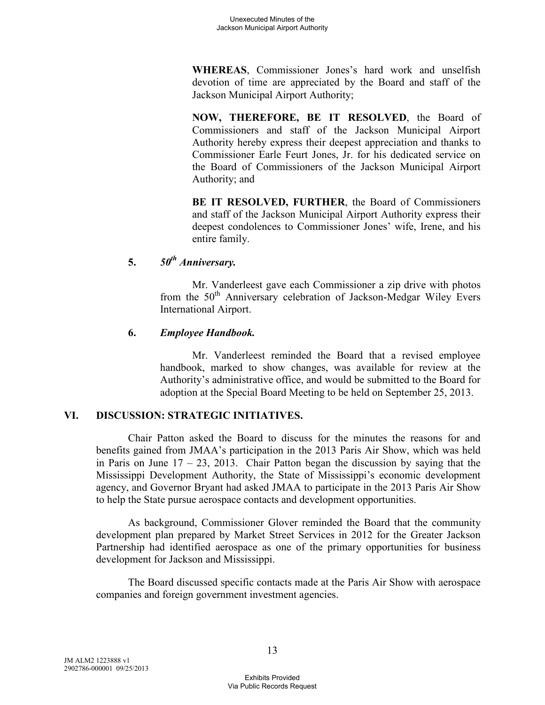**WHEREAS**, Commissioner Jones's hard work and unselfish devotion of time are appreciated by the Board and staff of the Jackson Municipal Airport Authority;

**NOW, THEREFORE, BE IT RESOLVED**, the Board of Commissioners and staff of the Jackson Municipal Airport Authority hereby express their deepest appreciation and thanks to Commissioner Earle Feurt Jones, Jr. for his dedicated service on the Board of Commissioners of the Jackson Municipal Airport Authority; and

**BE IT RESOLVED, FURTHER**, the Board of Commissioners and staff of the Jackson Municipal Airport Authority express their deepest condolences to Commissioner Jones' wife, Irene, and his entire family.

# **5.** *50th Anniversary.*

Mr. Vanderleest gave each Commissioner a zip drive with photos from the 50<sup>th</sup> Anniversary celebration of Jackson-Medgar Wiley Evers International Airport.

# **6.** *Employee Handbook.*

Mr. Vanderleest reminded the Board that a revised employee handbook, marked to show changes, was available for review at the Authority's administrative office, and would be submitted to the Board for adoption at the Special Board Meeting to be held on September 25, 2013.

# **VI. DISCUSSION: STRATEGIC INITIATIVES.**

Chair Patton asked the Board to discuss for the minutes the reasons for and benefits gained from JMAA's participation in the 2013 Paris Air Show, which was held in Paris on June  $17 - 23$ , 2013. Chair Patton began the discussion by saying that the Mississippi Development Authority, the State of Mississippi's economic development agency, and Governor Bryant had asked JMAA to participate in the 2013 Paris Air Show to help the State pursue aerospace contacts and development opportunities.

As background, Commissioner Glover reminded the Board that the community development plan prepared by Market Street Services in 2012 for the Greater Jackson Partnership had identified aerospace as one of the primary opportunities for business development for Jackson and Mississippi.

The Board discussed specific contacts made at the Paris Air Show with aerospace companies and foreign government investment agencies.